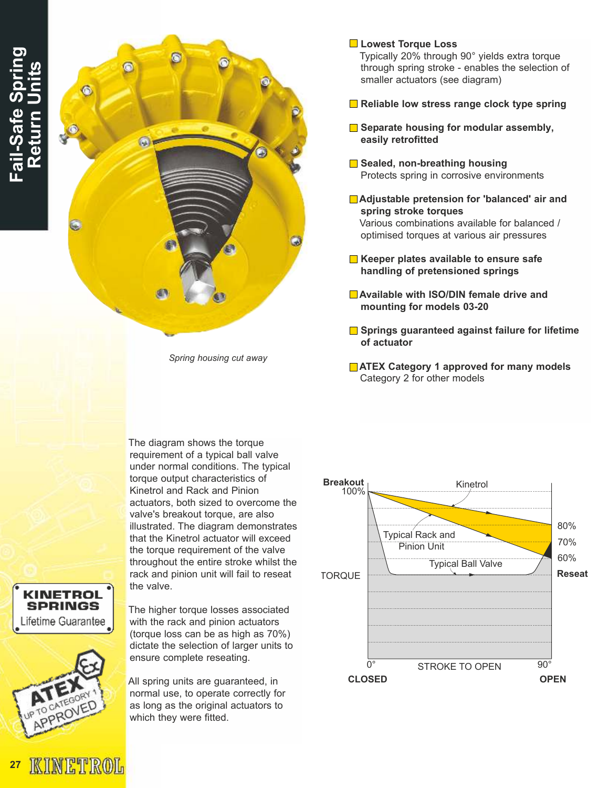

Spring housing cut away

#### **Lowest Torque Loss**

Typically 20% through 90° yields extra torque through spring stroke - enables the selection of smaller actuators (see diagram)

- Reliable low stress range clock type spring
- $\blacksquare$  Separate housing for modular assembly, easily retrofitted
- Sealed, non-breathing housing Protects spring in corrosive environments
- **■Adjustable pretension for 'balanced' air and** spring stroke torques Various combinations available for balanced / optimised torques at various air pressures
- $\blacksquare$  Keeper plates available to ensure safe handling of pretensioned springs
- ■Available with ISO/DIN female drive and mounting for models 03-20
- **■** Springs guaranteed against failure for lifetime of actuator
- **TATEX Category 1 approved for many models** Category 2 for other models

The diagram shows the torque requirement of a typical ball valve under normal conditions. The typical torque output characteristics of Kinetrol and Rack and Pinion actuators, both sized to overcome the valve's breakout torque, are also illustrated. The diagram demonstrates that the Kinetrol actuator will exceed the torque requirement of the valve throughout the entire stroke whilst the rack and pinion unit will fail to reseat the valve.

**KINETROL SPRINGS** ifetime Guarantee



The higher torque losses associated with the rack and pinion actuators (torque loss can be as high as 70%) dictate the selection of larger units to ensure complete reseating.

All spring units are guaranteed, in normal use, to operate correctly for as long as the original actuators to which they were fitted.